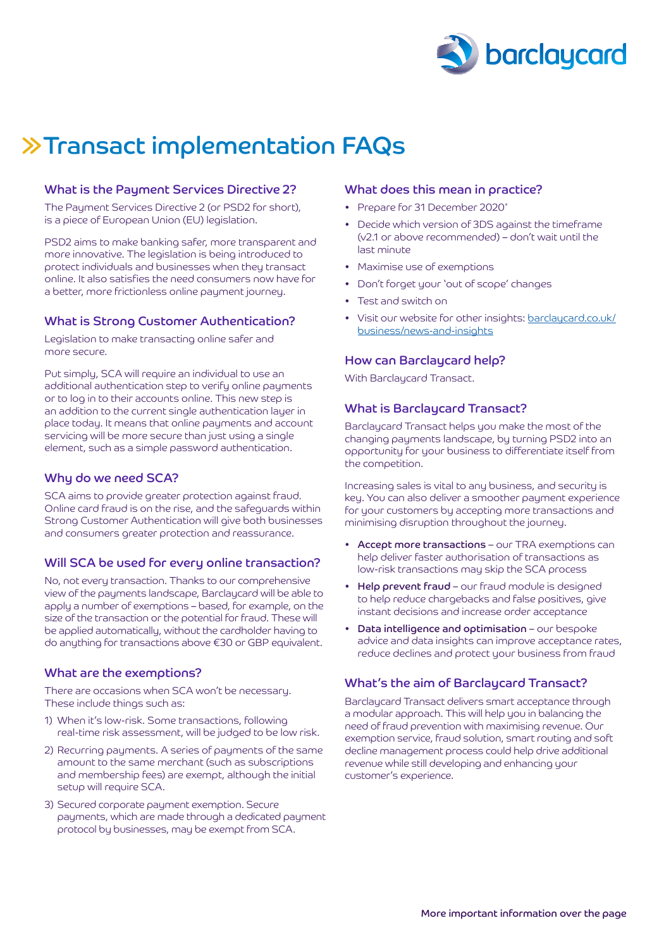

# Transact implementation FAQs

#### What is the Payment Services Directive 2?

The Payment Services Directive 2 (or PSD2 for short), is a piece of European Union (EU) legislation.

PSD2 aims to make banking safer, more transparent and more innovative. The legislation is being introduced to protect individuals and businesses when they transact online. It also satisfies the need consumers now have for a better, more frictionless online payment journey.

# What is Strong Customer Authentication?

Legislation to make transacting online safer and more secure.

Put simply, SCA will require an individual to use an additional authentication step to verify online payments or to log in to their accounts online. This new step is an addition to the current single authentication layer in place today. It means that online payments and account servicing will be more secure than just using a single element, such as a simple password authentication.

# Why do we need SCA?

SCA aims to provide greater protection against fraud. Online card fraud is on the rise, and the safeguards within Strong Customer Authentication will give both businesses and consumers greater protection and reassurance.

# Will SCA be used for every online transaction?

No, not every transaction. Thanks to our comprehensive view of the payments landscape, Barclaycard will be able to apply a number of exemptions – based, for example, on the size of the transaction or the potential for fraud. These will be applied automatically, without the cardholder having to do anything for transactions above €30 or GBP equivalent.

#### What are the exemptions?

There are occasions when SCA won't be necessary. These include things such as:

- 1) When it's low-risk. Some transactions, following real-time risk assessment, will be judged to be low risk.
- 2) Recurring payments. A series of payments of the same amount to the same merchant (such as subscriptions and membership fees) are exempt, although the initial setup will require SCA.
- 3) Secured corporate payment exemption. Secure payments, which are made through a dedicated payment protocol by businesses, may be exempt from SCA.

#### What does this mean in practice?

- Prepare for 31 December 2020\*
- • Decide which version of 3DS against the timeframe (v2.1 or above recommended) – don't wait until the last minute
- Maximise use of exemptions
- Don't forget your 'out of scope' changes
- Test and switch on
- Visit our website for other insights: [barclaycard.co.uk/](http://barclaycard.co.uk/business/news-and-insights) [business/news-and-insights](http://barclaycard.co.uk/business/news-and-insights)

#### How can Barclaycard help?

With Barclaycard Transact.

#### What is Barclaycard Transact?

Barclaycard Transact helps you make the most of the changing payments landscape, by turning PSD2 into an opportunity for your business to differentiate itself from the competition.

Increasing sales is vital to any business, and security is key. You can also deliver a smoother payment experience for your customers by accepting more transactions and minimising disruption throughout the journey.

- Accept more transactions our TRA exemptions can help deliver faster authorisation of transactions as low-risk transactions may skip the SCA process
- Help prevent fraud our fraud module is designed to help reduce chargebacks and false positives, give instant decisions and increase order acceptance
- • Data intelligence and optimisation our bespoke advice and data insights can improve acceptance rates, reduce declines and protect your business from fraud

# What's the aim of Barclaycard Transact?

Barclaycard Transact delivers smart acceptance through a modular approach. This will help you in balancing the need of fraud prevention with maximising revenue. Our exemption service, fraud solution, smart routing and soft decline management process could help drive additional revenue while still developing and enhancing your customer's experience.